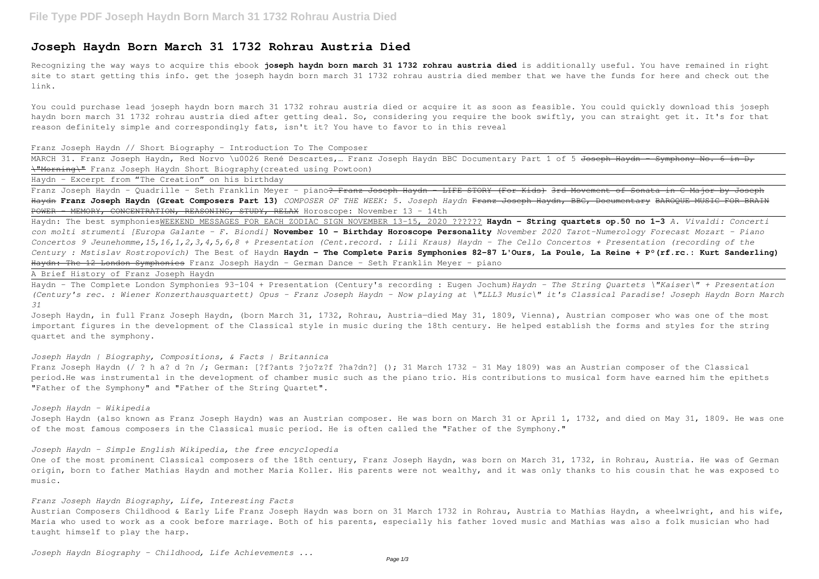# **Joseph Haydn Born March 31 1732 Rohrau Austria Died**

Recognizing the way ways to acquire this ebook **joseph haydn born march 31 1732 rohrau austria died** is additionally useful. You have remained in right site to start getting this info. get the joseph haydn born march 31 1732 rohrau austria died member that we have the funds for here and check out the link.

MARCH 31. Franz Joseph Haydn, Red Norvo \u0026 René Descartes, ... Franz Joseph Haydn BBC Documentary Part 1 of 5 Joseph Haydn - Symphony No. 6 in D, \"Morning\" Franz Joseph Haydn Short Biography(created using Powtoon)

You could purchase lead joseph haydn born march 31 1732 rohrau austria died or acquire it as soon as feasible. You could quickly download this joseph haydn born march 31 1732 rohrau austria died after getting deal. So, considering you require the book swiftly, you can straight get it. It's for that reason definitely simple and correspondingly fats, isn't it? You have to favor to in this reveal

Haydn: The best symphoniesWEEKEND MESSAGES FOR EACH ZODIAC SIGN NOVEMBER 13-15, 2020 ?????? **Haydn - String quartets op.50 no 1-3** *A. Vivaldi: Concerti con molti strumenti [Europa Galante - F. Biondi]* **November 10 - Birthday Horoscope Personality** *November 2020 Tarot-Numerology Forecast Mozart - Piano Concertos 9 Jeunehomme,15,16,1,2,3,4,5,6,8 + Presentation (Cent.record. : Lili Kraus) Haydn - The Cello Concertos + Presentation (recording of the Century : Mstislav Rostropovich)* The Best of Haydn **Haydn - The Complete Paris Symphonies 82-87 L'Ours, La Poule, La Reine + P°(rf.rc.: Kurt Sanderling)** Haydn: The 12 London Symphonies Franz Joseph Haydn - German Dance - Seth Franklin Meyer - piano

#### Franz Joseph Haydn // Short Biography - Introduction To The Composer

Haydn - Excerpt from "The Creation" on his birthday

Franz Joseph Haydn - Quadrille - Seth Franklin Meyer - piano<del>? Franz Joseph Haydn - LIFE STORY (For Kids) 3rd Movement of Sonata in C Major by Joseph</del> Haydn **Franz Joseph Haydn (Great Composers Part 13)** *COMPOSER OF THE WEEK: 5. Joseph Haydn* Franz Joseph Haydn, BBC, Documentary BAROQUE MUSIC FOR BRAIN POWER - MEMORY, CONCENTRATION, REASONING, STUDY, RELAX Horoscope: November 13 - 14th

Joseph Haydn, in full Franz Joseph Haydn, (born March 31, 1732, Rohrau, Austria-died May 31, 1809, Vienna), Austrian composer who was one of the most important figures in the development of the Classical style in music during the 18th century. He helped establish the forms and styles for the string quartet and the symphony.

One of the most prominent Classical composers of the 18th century, Franz Joseph Haydn, was born on March 31, 1732, in Rohrau, Austria. He was of German origin, born to father Mathias Haydn and mother Maria Koller. His parents were not wealthy, and it was only thanks to his cousin that he was exposed to music.

A Brief History of Franz Joseph Haydn

Haydn - The Complete London Symphonies 93-104 + Presentation (Century's recording : Eugen Jochum)*Haydn - The String Quartets \"Kaiser\" + Presentation (Century's rec. : Wiener Konzerthausquartett) Opus - Franz Joseph Haydn - Now playing at \"LLL3 Music\" it's Classical Paradise! Joseph Haydn Born March 31*

## *Joseph Haydn | Biography, Compositions, & Facts | Britannica*

Franz Joseph Haydn (/ ? h a? d ?n /; German: [?f?ants ?jo?z?f ?ha?dn?] (); 31 March 1732 – 31 May 1809) was an Austrian composer of the Classical period.He was instrumental in the development of chamber music such as the piano trio. His contributions to musical form have earned him the epithets "Father of the Symphony" and "Father of the String Quartet".

*Joseph Haydn - Wikipedia*

Joseph Haydn (also known as Franz Joseph Haydn) was an Austrian composer. He was born on March 31 or April 1, 1732, and died on May 31, 1809. He was one of the most famous composers in the Classical music period. He is often called the "Father of the Symphony."

#### *Joseph Haydn - Simple English Wikipedia, the free encyclopedia*

#### *Franz Joseph Haydn Biography, Life, Interesting Facts*

Austrian Composers Childhood & Early Life Franz Joseph Haydn was born on 31 March 1732 in Rohrau, Austria to Mathias Haydn, a wheelwright, and his wife, Maria who used to work as a cook before marriage. Both of his parents, especially his father loved music and Mathias was also a folk musician who had taught himself to play the harp.

*Joseph Haydn Biography - Childhood, Life Achievements ...*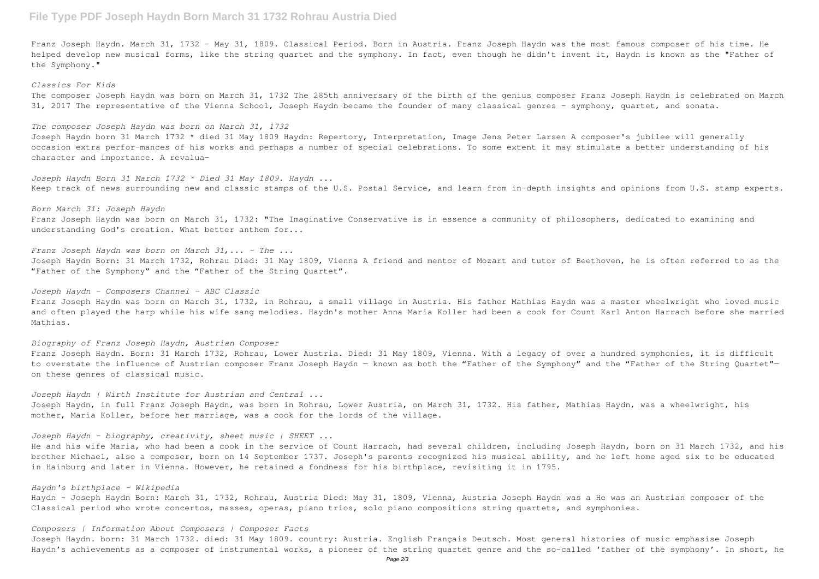# **File Type PDF Joseph Haydn Born March 31 1732 Rohrau Austria Died**

Franz Joseph Haydn. March 31, 1732 - May 31, 1809. Classical Period. Born in Austria. Franz Joseph Haydn was the most famous composer of his time. He helped develop new musical forms, like the string quartet and the symphony. In fact, even though he didn't invent it, Haydn is known as the "Father of the Symphony."

# *Classics For Kids*

The composer Joseph Haydn was born on March 31, 1732 The 285th anniversary of the birth of the genius composer Franz Joseph Haydn is celebrated on March 31, 2017 The representative of the Vienna School, Joseph Haydn became the founder of many classical genres - symphony, quartet, and sonata.

### *The composer Joseph Haydn was born on March 31, 1732*

Joseph Haydn born 31 March 1732 \* died 31 May 1809 Haydn: Repertory, Interpretation, Image Jens Peter Larsen A composer's jubilee will generally occasion extra perfor-mances of his works and perhaps a number of special celebrations. To some extent it may stimulate a better understanding of his character and importance. A revalua-

*Joseph Haydn Born 31 March 1732 \* Died 31 May 1809. Haydn ...* Keep track of news surrounding new and classic stamps of the U.S. Postal Service, and learn from in-depth insights and opinions from U.S. stamp experts.

*Born March 31: Joseph Haydn* Franz Joseph Haydn was born on March 31, 1732: "The Imaginative Conservative is in essence a community of philosophers, dedicated to examining and understanding God's creation. What better anthem for...

*Franz Joseph Haydn was born on March 31,... - The ...*

Joseph Haydn Born: 31 March 1732, Rohrau Died: 31 May 1809, Vienna A friend and mentor of Mozart and tutor of Beethoven, he is often referred to as the "Father of the Symphony" and the "Father of the String Quartet".

Haydn ~ Joseph Haydn Born: March 31, 1732, Rohrau, Austria Died: May 31, 1809, Vienna, Austria Joseph Haydn was a He was an Austrian composer of the Classical period who wrote concertos, masses, operas, piano trios, solo piano compositions string quartets, and symphonies.

# *Joseph Haydn - Composers Channel - ABC Classic*

Joseph Haydn. born: 31 March 1732. died: 31 May 1809. country: Austria. English Français Deutsch. Most general histories of music emphasise Joseph Haydn's achievements as a composer of instrumental works, a pioneer of the string quartet genre and the so-called 'father of the symphony'. In short, he

Franz Joseph Haydn was born on March 31, 1732, in Rohrau, a small village in Austria. His father Mathias Haydn was a master wheelwright who loved music and often played the harp while his wife sang melodies. Haydn's mother Anna Maria Koller had been a cook for Count Karl Anton Harrach before she married Mathias.

#### *Biography of Franz Joseph Haydn, Austrian Composer*

Franz Joseph Haydn. Born: 31 March 1732, Rohrau, Lower Austria. Died: 31 May 1809, Vienna. With a legacy of over a hundred symphonies, it is difficult to overstate the influence of Austrian composer Franz Joseph Haydn - known as both the "Father of the "Father of the String Quartet"on these genres of classical music.

*Joseph Haydn | Wirth Institute for Austrian and Central ...* Joseph Haydn, in full Franz Joseph Haydn, was born in Rohrau, Lower Austria, on March 31, 1732. His father, Mathias Haydn, was a wheelwright, his mother, Maria Koller, before her marriage, was a cook for the lords of the village.

*Joseph Haydn - biography, creativity, sheet music | SHEET ...*

He and his wife Maria, who had been a cook in the service of Count Harrach, had several children, including Joseph Haydn, born on 31 March 1732, and his brother Michael, also a composer, born on 14 September 1737. Joseph's parents recognized his musical ability, and he left home aged six to be educated in Hainburg and later in Vienna. However, he retained a fondness for his birthplace, revisiting it in 1795.

# *Haydn's birthplace - Wikipedia*

#### *Composers | Information About Composers | Composer Facts*